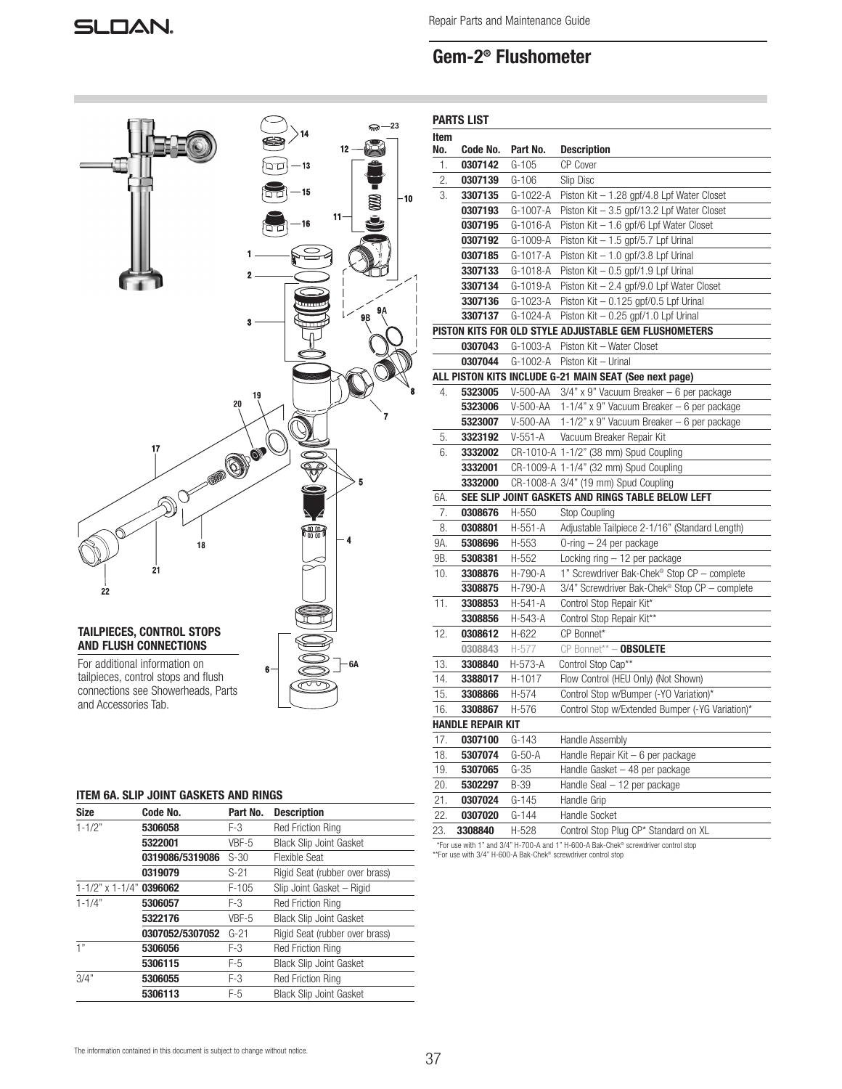Repair Parts and Maintenance Guide

# Gem-2® Flushometer



# ITEM 6A. SLIP JOINT GASKETS AND RINGS

| <b>Size</b>                       | Code No.        | Part No. | <b>Description</b>             |
|-----------------------------------|-----------------|----------|--------------------------------|
| $1 - 1/2"$                        | 5306058         | F-3      | <b>Red Friction Ring</b>       |
|                                   | 5322001         | VBF-5    | <b>Black Slip Joint Gasket</b> |
|                                   | 0319086/5319086 | $S-30$   | Flexible Seat                  |
|                                   | 0319079         | $S-21$   | Rigid Seat (rubber over brass) |
| $1 - 1/2$ " x $1 - 1/4$ " 0396062 |                 | $F-105$  | Slip Joint Gasket - Rigid      |
| $1 - 1/4"$<br>5306057             |                 | $F-3$    | <b>Red Friction Ring</b>       |
|                                   | 5322176         | VBF-5    | <b>Black Slip Joint Gasket</b> |
|                                   | 0307052/5307052 | $G-21$   | Rigid Seat (rubber over brass) |
| 1"                                | 5306056         | F-3      | <b>Red Friction Ring</b>       |
|                                   | 5306115         | $F-5$    | <b>Black Slip Joint Gasket</b> |
| 3/4"                              | 5306055         | $F-3$    | <b>Red Friction Ring</b>       |
|                                   | 5306113         | $F-5$    | <b>Black Slip Joint Gasket</b> |

| Item |                   |             |                                                        |
|------|-------------------|-------------|--------------------------------------------------------|
| No.  | Code No.          | Part No.    | <b>Description</b>                                     |
| 1.   | 0307142           | $G-105$     | CP Cover                                               |
| 2.   | 0307139           | $G-106$     | Slip Disc                                              |
| 3.   | 3307135           | G-1022-A    | Piston Kit $-1.28$ gpf/4.8 Lpf Water Closet            |
|      | 0307193           | G-1007-A    | Piston Kit - 3.5 gpf/13.2 Lpf Water Closet             |
|      | 0307195           | G-1016-A    | Piston Kit - 1.6 gpf/6 Lpf Water Closet                |
|      | 0307192           | G-1009-A    | Piston Kit - 1.5 gpf/5.7 Lpf Urinal                    |
|      | 0307185           | G-1017-A    | Piston Kit - 1.0 gpf/3.8 Lpf Urinal                    |
|      | 3307133           | G-1018-A    | Piston Kit - 0.5 gpf/1.9 Lpf Urinal                    |
|      | 3307134           | G-1019-A    | Piston Kit - 2.4 gpf/9.0 Lpf Water Closet              |
|      | 3307136           | G-1023-A    | Piston Kit - 0.125 gpf/0.5 Lpf Urinal                  |
|      | 3307137           | G-1024-A    | Piston Kit - 0.25 gpf/1.0 Lpf Urinal                   |
|      |                   |             | PISTON KITS FOR OLD STYLE ADJUSTABLE GEM FLUSHOMETERS  |
|      | 0307043           | G-1003-A    | Piston Kit - Water Closet                              |
|      | 0307044           | G-1002-A    | Piston Kit - Urinal                                    |
|      |                   |             | ALL PISTON KITS INCLUDE G-21 MAIN SEAT (See next page) |
| 4.   | 5323005           | V-500-AA    | $3/4$ " x 9" Vacuum Breaker - 6 per package            |
|      | 5323006           | V-500-AA    | 1-1/4" x 9" Vacuum Breaker - 6 per package             |
|      | 5323007           | V-500-AA    | 1-1/2" x 9" Vacuum Breaker - 6 per package             |
| 5.   | 3323192           | $V-551-A$   | Vacuum Breaker Repair Kit                              |
| 6.   | 3332002           |             | CR-1010-A 1-1/2" (38 mm) Spud Coupling                 |
|      | 3332001           |             | CR-1009-A 1-1/4" (32 mm) Spud Coupling                 |
|      | 3332000           |             | CR-1008-A 3/4" (19 mm) Spud Coupling                   |
| 6A.  |                   |             | SEE SLIP JOINT GASKETS AND RINGS TABLE BELOW LEFT      |
| 7.   | 0308676           | H-550       | Stop Coupling                                          |
| 8.   | 0308801           | H-551-A     | Adjustable Tailpiece 2-1/16" (Standard Length)         |
| 9A.  | 5308696           | H-553       | O-ring - 24 per package                                |
| 9B.  | 5308381           | H-552       | Locking ring - 12 per package                          |
| 10.  | 3308876           | H-790-A     | 1" Screwdriver Bak-Chek® Stop CP - complete            |
|      | 3308875           | H-790-A     | 3/4" Screwdriver Bak-Chek® Stop CP - complete          |
| 11.  | 3308853           | H-541-A     | Control Stop Repair Kit*                               |
|      | 3308856           | H-543-A     | Control Stop Repair Kit**                              |
| 12.  | 0308612           | H-622       | CP Bonnet*                                             |
|      | 0308843           | H-577       | $CP$ Bonnet** - OBSOLETE                               |
| 13.  | 3308840           | H-573-A     | Control Stop Cap**                                     |
| 14.  | 3388017           | H-1017      | Flow Control (HEU Only) (Not Shown)                    |
| 15.  | 3308866           | H-574       | Control Stop w/Bumper (-YO Variation)*                 |
| 16.  | 3308867           | H-576       | Control Stop w/Extended Bumper (-YG Variation)*        |
|      | HANDLE REPAIR KIT |             |                                                        |
| 17.  | 0307100           | G-143       | Handle Assembly                                        |
| 18.  | 5307074           | G-50-A      | Handle Repair Kit - 6 per package                      |
| 19.  | 5307065           | $G-35$      | Handle Gasket - 48 per package                         |
| 20.  | 5302297           | <b>B-39</b> | Handle Seal - 12 per package                           |
| 21.  | 0307024           | $G-145$     | Handle Grip                                            |
|      |                   |             |                                                        |
| 22.  | 0307020           | $G-144$     | Handle Socket                                          |

\*For use with 1" and 3/4" H-700-A and 1" H-600-A Bak-Chek® screwdriver control stop \*\*For use with 3/4" H-600-A Bak-Chek® screwdriver control stop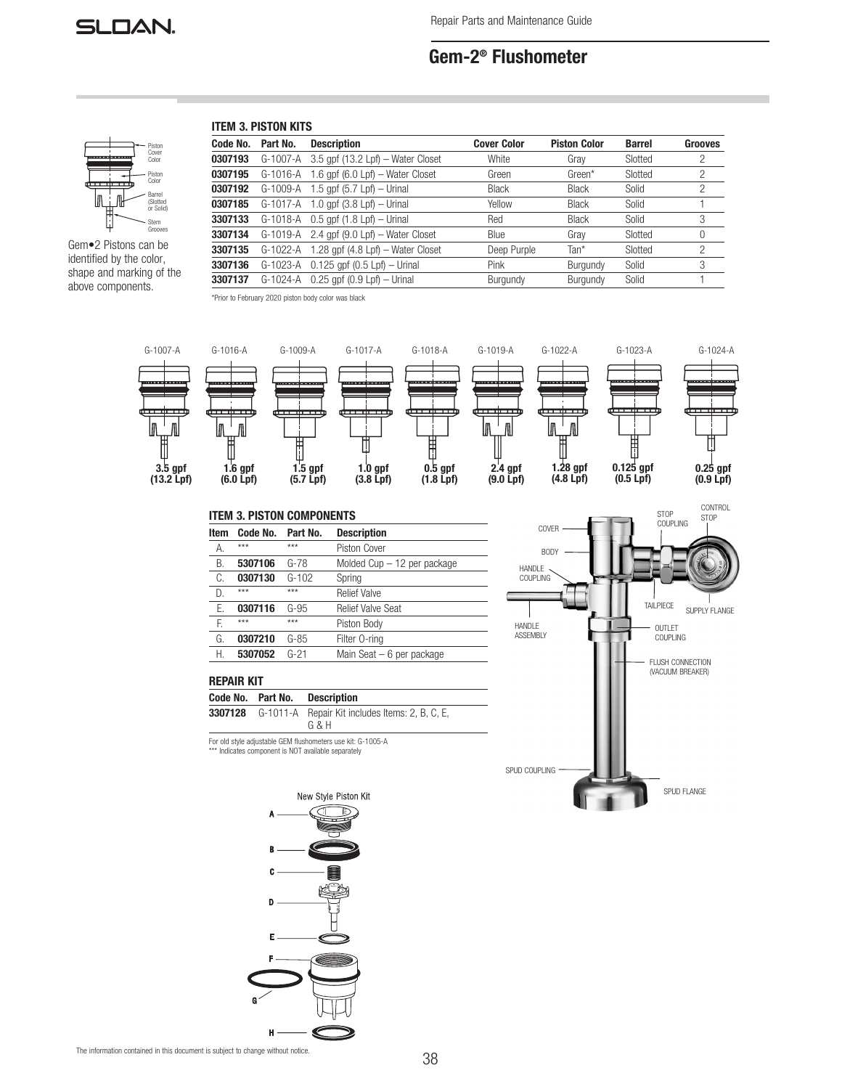

# Gem-2® Flushometer

# ITEM 3. PISTON KITS



Gem•2 Pistons can be Piston Color identified by the color, shape and marking of the above components.

| Code No. | Part No. | <b>Description</b>                                           | <b>Cover Color</b> | <b>Piston Color</b> | <b>Barrel</b> | Grooves        |
|----------|----------|--------------------------------------------------------------|--------------------|---------------------|---------------|----------------|
| 0307193  |          | G-1007-A 3.5 gpf (13.2 Lpf) - Water Closet                   | White              | Grav                | Slotted       | 2              |
| 0307195  |          | $G-1016-A$ 1.6 gpf $(6.0 \text{ Lpf})$ – Water Closet        | Green              | Green*              | Slotted       | $\overline{2}$ |
| 0307192  |          | G-1009-A 1.5 gpf (5.7 Lpf) - Urinal                          | <b>Black</b>       | Black               | Solid         | $\overline{2}$ |
| 0307185  |          | $G-1017-A$ 1.0 gpf $(3.8 \text{ Lpf}) - \text{Urinal}$       | Yellow             | <b>Black</b>        | Solid         |                |
| 3307133  |          | $G-1018-A$ 0.5 gpf $(1.8 \text{ Lpf}) - \text{Urinal}$       | Red                | <b>Black</b>        | Solid         | 3              |
| 3307134  |          | $G-1019-A$ 2.4 gpf $(9.0 \text{ Lpf}) - \text{Water Close}$  | Blue               | Grav                | Slotted       | $\theta$       |
| 3307135  |          | $G-1022-A$ 1.28 gpf $(4.8 \text{ Lpf}) - \text{Water Close}$ | Deep Purple        | Tan*                | Slotted       | $\overline{2}$ |
| 3307136  |          | G-1023-A 0.125 gpf (0.5 Lpf) - Urinal                        | Pink               | Burgundy            | Solid         | 3              |
| 3307137  |          | $G-1024-A$ 0.25 apf $(0.9 Lpf) - Urinal$                     | Burgundy           | Burgundy            | Solid         |                |
|          |          |                                                              |                    |                     |               |                |

\*Prior to February 2020 piston body color was black



# ITEM 3. PISTON COMPONENTS

| <b>Item</b> | Code No. | Part No. | <b>Description</b>            |  |  |  |
|-------------|----------|----------|-------------------------------|--|--|--|
| А.          | $***$    | $***$    | Piston Cover                  |  |  |  |
| В.          | 5307106  | $G-78$   | Molded $Cup - 12$ per package |  |  |  |
| C.          | 0307130  | $G-102$  | Spring                        |  |  |  |
| D.          | ***      | $***$    | <b>Relief Valve</b>           |  |  |  |
| Ε.          | 0307116  | $G-95$   | <b>Relief Valve Seat</b>      |  |  |  |
| F.          | $***$    | $***$    | Piston Body                   |  |  |  |
| G.          | 0307210  | $G-85$   | Filter O-ring                 |  |  |  |
| Н.          | 5307052  | $G-21$   | Main Seat $-6$ per package    |  |  |  |



# REPAIR KIT

| Code No. Part No. | Description                                                    |
|-------------------|----------------------------------------------------------------|
|                   | <b>3307128</b> G-1011-A Repair Kit includes Items: 2, B, C, E, |
|                   | G & H                                                          |

For old style adjustable GEM flushometers use kit: G-1005-A \*\*\* Indicates component is NOT available separately



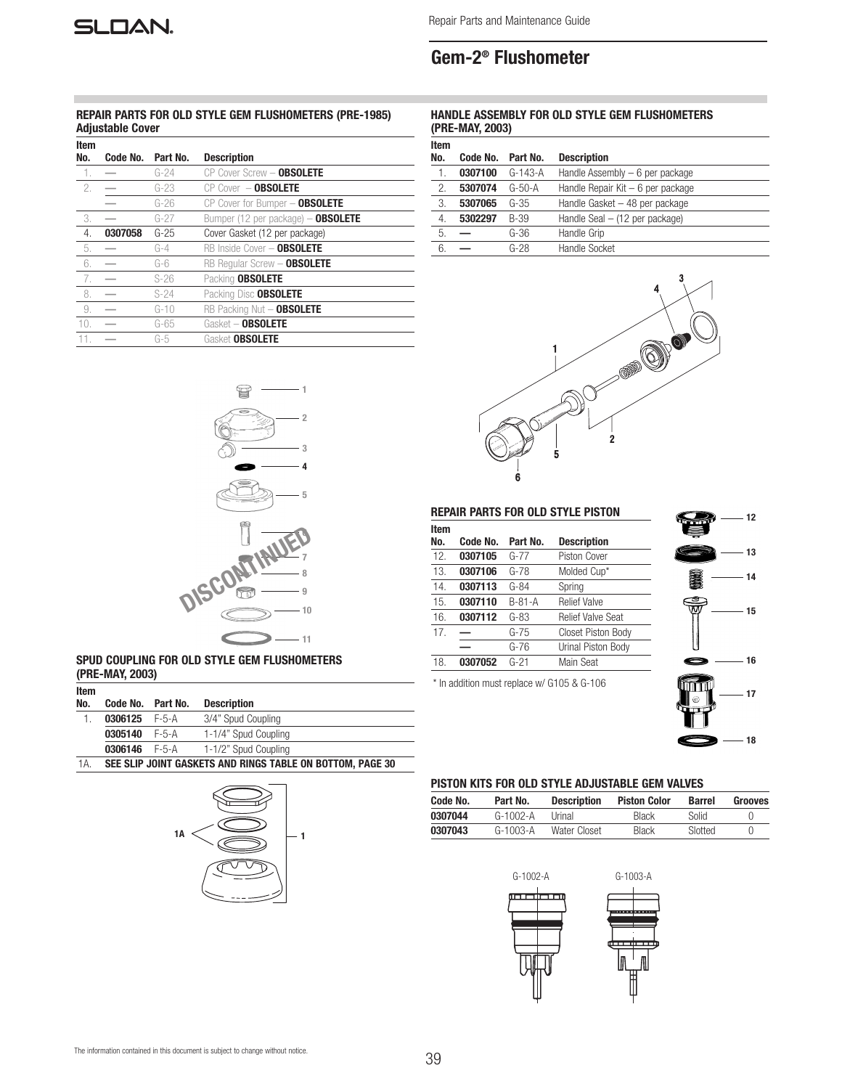Repair Parts and Maintenance Guide

# Gem-2® Flushometer

# REPAIR PARTS FOR OLD STYLE GEM FLUSHOMETERS (PRE-1985) Adjustable Cover

| <b>Item</b><br>No. | Code No. | Part No. | <b>Description</b>                 |
|--------------------|----------|----------|------------------------------------|
| $\lceil$ .         |          | $G - 24$ | CP Cover Screw - OBSOLETE          |
| 2.                 |          | $G-23$   | $CP$ Cover $-$ OBSOLETE            |
|                    |          | $G - 26$ | CP Cover for Bumper - OBSOLETE     |
| 3.                 |          | $G-27$   | Bumper (12 per package) - OBSOLETE |
| 4.                 | 0307058  | $G-25$   | Cover Gasket (12 per package)      |
| 5.                 |          | $G-4$    | RB Inside Cover - OBSOLETE         |
| 6.                 |          | $G-6$    | RB Regular Screw - OBSOLETE        |
| 7.                 |          | $S-26$   | Packing OBSOLETE                   |
| 8.                 |          | $S-24$   | Packing Disc OBSOLETE              |
| 9.                 |          | $G-10$   | RB Packing Nut - OBSOLETE          |
| 10.                |          | $G-65$   | Gasket - OBSOLETE                  |
| 11.                |          | $G-5$    | Gasket OBSOLETE                    |

# HANDLE ASSEMBLY FOR OLD STYLE GEM FLUSHOMETERS (PRE-MAY, 2003)

| Item |          |           |                                    |
|------|----------|-----------|------------------------------------|
| No.  | Code No. | Part No.  | <b>Description</b>                 |
| 1.   | 0307100  | $G-143-A$ | Handle Assembly $-6$ per package   |
| 2.   | 5307074  | $G-50-A$  | Handle Repair Kit $-6$ per package |
| 3.   | 5307065  | $G-35$    | Handle Gasket - 48 per package     |
| 4.   | 5302297  | B-39      | Handle Seal $-$ (12 per package)   |
| 5.   |          | $G-36$    | Handle Grip                        |
| 6.   |          | $G-28$    | Handle Socket                      |





# SPUD COUPLING FOR OLD STYLE GEM FLUSHOMETERS (PRE-MAY, 2003)

| Item |          |          |                      |
|------|----------|----------|----------------------|
| No.  | Code No. | Part No. | <b>Description</b>   |
|      | 0306125  | F-5-A    | 3/4" Spud Coupling   |
|      | 0305140  | F-5-A    | 1-1/4" Spud Coupling |
|      | 0306146  | F-5-A    | 1-1/2" Spud Coupling |
|      |          |          |                      |

1A. SEE SLIP JOINT GASKETS AND RINGS TABLE ON BOTTOM, PAGE 30



### REPAIR PARTS FOR OLD STYLE PISTON

| Item |          |          |                          |  |
|------|----------|----------|--------------------------|--|
| No.  | Code No. | Part No. | <b>Description</b>       |  |
| 12.  | 0307105  | $G-77$   | Piston Cover             |  |
| 13.  | 0307106  | $G-78$   | Molded Cup*              |  |
| 14.  | 0307113  | $G-84$   | Spring                   |  |
| 15.  | 0307110  | $B-81-A$ | <b>Relief Valve</b>      |  |
| 16.  | 0307112  | $G-83$   | <b>Relief Valve Seat</b> |  |
| 17.  |          | $G-75$   | Closet Piston Body       |  |
|      |          | $G-76$   | Urinal Piston Body       |  |
| 18.  | 0307052  | $G-21$   | Main Seat                |  |

\* In addition must replace w/ G105 & G-106



#### PISTON KITS FOR OLD STYLE ADJUSTABLE GEM VALVES

| Code No. | Part No.   | <b>Description</b> | <b>Piston Color</b> | <b>Barrel</b> | Grooves          |
|----------|------------|--------------------|---------------------|---------------|------------------|
| 0307044  | $G-1002-A$ | Urinal             | <b>Black</b>        | Solid         |                  |
| 0307043  | $G-1003-A$ | Water Closet       | <b>Black</b>        | Slotted       | $\left( \right)$ |

G-1002-A G-1003-A